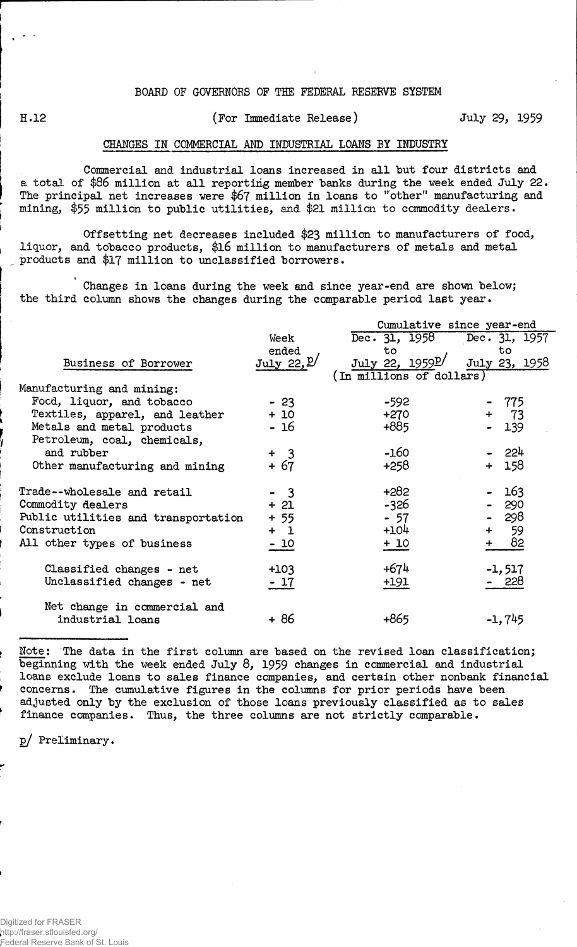## BOARD OF GOVERNORS OF THE FEDERAL RESERVE SYSTEM

## H.12 (For Immediate Release) July 29, 1959

## CHANGES IN COMMERCIAL AMD INDUSTRIAL LOANS BY INDUSTRY

Commercial and industrial loans increased in all but four districts and a total of \$86 million at all reporting member banks during the week ended July 22. The principal net increases were \$6? million in loans to "other" manufacturing and mining, \$55 million to public utilities, and \$21 million to commodity dealers.

Offsetting net decreases included \$23 million to manufacturers of food, liquor, and tobacco products, \$16 million to manufacturers of metals and metal products and \$17 million to unclassified borrowers.

Changes in loans during the week and since year-end are shown below; the third column shows the changes during the comparable period last year.

|                                     |                        | Cumulative since year-end      |               |  |  |  |  |  |
|-------------------------------------|------------------------|--------------------------------|---------------|--|--|--|--|--|
|                                     | Week                   | Dec. $31, 1958$                | Dec. 31, 1957 |  |  |  |  |  |
|                                     | ended                  | to                             | to            |  |  |  |  |  |
| Business of Borrower                | July 22, $\mathbb{P}'$ | July 22, $1959$ <sup>p</sup> / | July 23, 1958 |  |  |  |  |  |
|                                     |                        | (In millions of dollars)       |               |  |  |  |  |  |
| Manufacturing and mining:           |                        |                                |               |  |  |  |  |  |
| Food, liquor, and tobacco           | $-23$                  | $-592$                         | - 775         |  |  |  |  |  |
| Textiles, apparel, and leather      | $+10$                  | $+270$                         | $+ 73$        |  |  |  |  |  |
| Metals and metal products           | - 16                   | +885                           | 139           |  |  |  |  |  |
| Petroleum, coal, chemicals,         |                        |                                |               |  |  |  |  |  |
| and rubber                          | $+$ 3                  | -160                           | - 224         |  |  |  |  |  |
| Other manufacturing and mining      | + 67                   | +258                           | 158<br>$+$    |  |  |  |  |  |
|                                     |                        |                                |               |  |  |  |  |  |
| Trade--wholesale and retail         | $-3$                   | $+282$                         | 163           |  |  |  |  |  |
| Commodity dealers                   | $+21$                  | $-326$                         | 290           |  |  |  |  |  |
| Public utilities and transportation | $+55$                  | $-57$                          | - 298         |  |  |  |  |  |
| Construction                        | $+1$                   | $+104$                         | 59<br>$+$     |  |  |  |  |  |
| All other types of business         | $-10$                  | $+10$                          | 82            |  |  |  |  |  |
|                                     |                        |                                |               |  |  |  |  |  |
| Classified changes - net            | $+103$                 | $+674$                         | $-1, 517$     |  |  |  |  |  |
| Unclassified changes - net          | $-17$                  | $+191$                         | 228           |  |  |  |  |  |
|                                     |                        |                                |               |  |  |  |  |  |
| Net change in commercial and        |                        |                                |               |  |  |  |  |  |
| industrial loans                    | + 86                   | +865                           | $-1,745$      |  |  |  |  |  |
|                                     |                        |                                |               |  |  |  |  |  |

Note: The data in the first column are based on the revised loan classification; beginning with the week ended July 8, 1959 changes in commercial and industrial loans exclude loans to sales finance companies, and certain other nonbank financial concerns. The cumulative figures in the columns for prior periods have been adjusted only by the exclusion of those loans previously classified as to sales finance companies. Thus, the three columns are not strictly comparable.

p/ Preliminary.

Digitized for FRASER http://fraser.stlouisfed.org/ Federal Reserve Bank of St. Louis